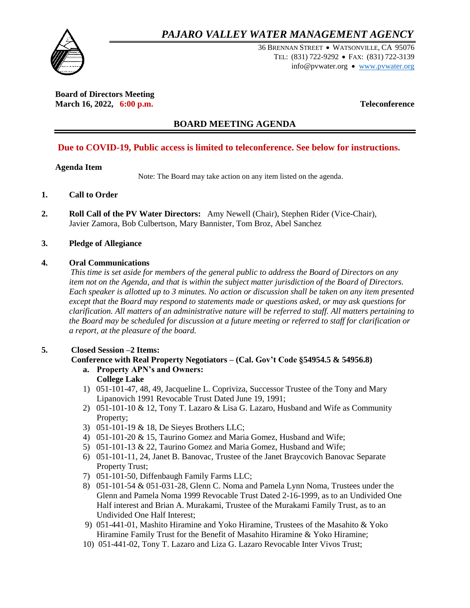## *PAJARO VALLEY WATER MANAGEMENT AGENCY*



36 BRENNAN STREET WATSONVILLE, CA 95076 TEL: (831) 722-9292 • FAX: (831) 722-3139 info@pvwater.org • [www.pvwater.org](http://www.pvwater.org/)

**Board of Directors Meeting March 16, 2022, 6:00 p.m. Teleconference**

## **BOARD MEETING AGENDA**

## **Due to COVID-19, Public access is limited to teleconference. See below for instructions.**

## **Agenda Item**

Note: The Board may take action on any item listed on the agenda.

## **1. Call to Order**

**2. Roll Call of the PV Water Directors:** Amy Newell (Chair), Stephen Rider (Vice-Chair), Javier Zamora, Bob Culbertson, Mary Bannister, Tom Broz, Abel Sanchez

## **3. Pledge of Allegiance**

## **4. Oral Communications**

 *This time is set aside for members of the general public to address the Board of Directors on any item not on the Agenda, and that is within the subject matter jurisdiction of the Board of Directors. Each speaker is allotted up to 3 minutes. No action or discussion shall be taken on any item presented except that the Board may respond to statements made or questions asked, or may ask questions for clarification. All matters of an administrative nature will be referred to staff. All matters pertaining to the Board may be scheduled for discussion at a future meeting or referred to staff for clarification or a report, at the pleasure of the board.*

## **5. Closed Session –2 Items:**

## **Conference with Real Property Negotiators – (Cal. Gov't Code §54954.5 & 54956.8)**

**a. Property APN's and Owners:** 

## **College Lake**

- 1) 051-101-47, 48, 49, Jacqueline L. Copriviza, Successor Trustee of the Tony and Mary Lipanovich 1991 Revocable Trust Dated June 19, 1991;
- 2) 051-101-10 & 12, Tony T. Lazaro & Lisa G. Lazaro, Husband and Wife as Community Property;
- 3) 051-101-19 & 18, De Sieyes Brothers LLC;
- 4) 051-101-20 & 15, Taurino Gomez and Maria Gomez, Husband and Wife;
- 5) 051-101-13 & 22, Taurino Gomez and Maria Gomez, Husband and Wife;
- 6) 051-101-11, 24, Janet B. Banovac, Trustee of the Janet Braycovich Banovac Separate Property Trust;
- 7) 051-101-50, Diffenbaugh Family Farms LLC;
- 8) 051-101-54 & 051-031-28, Glenn C. Noma and Pamela Lynn Noma, Trustees under the Glenn and Pamela Noma 1999 Revocable Trust Dated 2-16-1999, as to an Undivided One Half interest and Brian A. Murakami, Trustee of the Murakami Family Trust, as to an Undivided One Half Interest;
- 9) 051-441-01, Mashito Hiramine and Yoko Hiramine, Trustees of the Masahito & Yoko Hiramine Family Trust for the Benefit of Masahito Hiramine & Yoko Hiramine;
- 10) 051-441-02, Tony T. Lazaro and Liza G. Lazaro Revocable Inter Vivos Trust;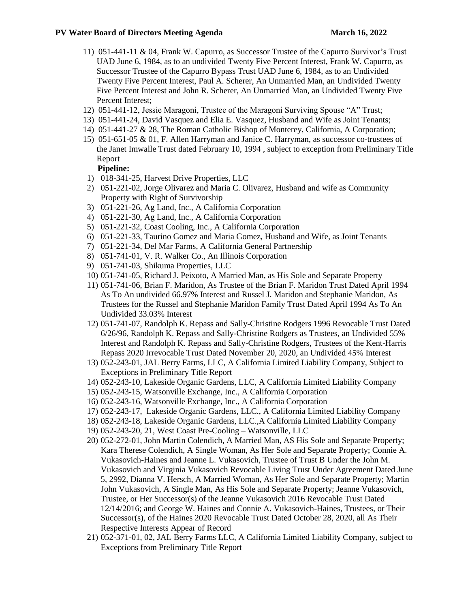- 11) 051-441-11 & 04, Frank W. Capurro, as Successor Trustee of the Capurro Survivor's Trust UAD June 6, 1984, as to an undivided Twenty Five Percent Interest, Frank W. Capurro, as Successor Trustee of the Capurro Bypass Trust UAD June 6, 1984, as to an Undivided Twenty Five Percent Interest, Paul A. Scherer, An Unmarried Man, an Undivided Twenty Five Percent Interest and John R. Scherer, An Unmarried Man, an Undivided Twenty Five Percent Interest;
- 12) 051-441-12, Jessie Maragoni, Trustee of the Maragoni Surviving Spouse "A" Trust;
- 13) 051-441-24, David Vasquez and Elia E. Vasquez, Husband and Wife as Joint Tenants;
- 14) 051-441-27 & 28, The Roman Catholic Bishop of Monterey, California, A Corporation;
- 15) 051-651-05 & 01, F. Allen Harryman and Janice C. Harryman, as successor co-trustees of the Janet Imwalle Trust dated February 10, 1994 , subject to exception from Preliminary Title Report

## **Pipeline:**

- 1) 018-341-25, Harvest Drive Properties, LLC
- 2) 051-221-02, Jorge Olivarez and Maria C. Olivarez, Husband and wife as Community Property with Right of Survivorship
- 3) 051-221-26, Ag Land, Inc., A California Corporation
- 4) 051-221-30, Ag Land, Inc., A California Corporation
- 5) 051-221-32, Coast Cooling, Inc., A California Corporation
- 6) 051-221-33, Taurino Gomez and Maria Gomez, Husband and Wife, as Joint Tenants
- 7) 051-221-34, Del Mar Farms, A California General Partnership
- 8) 051-741-01, V. R. Walker Co., An Illinois Corporation
- 9) 051-741-03, Shikuma Properties, LLC
- 10) 051-741-05, Richard J. Peixoto, A Married Man, as His Sole and Separate Property
- 11) 051-741-06, Brian F. Maridon, As Trustee of the Brian F. Maridon Trust Dated April 1994 As To An undivided 66.97% Interest and Russel J. Maridon and Stephanie Maridon, As Trustees for the Russel and Stephanie Maridon Family Trust Dated April 1994 As To An Undivided 33.03% Interest
- 12) 051-741-07, Randolph K. Repass and Sally-Christine Rodgers 1996 Revocable Trust Dated 6/26/96, Randolph K. Repass and Sally-Christine Rodgers as Trustees, an Undivided 55% Interest and Randolph K. Repass and Sally-Christine Rodgers, Trustees of the Kent-Harris Repass 2020 Irrevocable Trust Dated November 20, 2020, an Undivided 45% Interest
- 13) 052-243-01, JAL Berry Farms, LLC, A California Limited Liability Company, Subject to Exceptions in Preliminary Title Report
- 14) 052-243-10, Lakeside Organic Gardens, LLC, A California Limited Liability Company
- 15) 052-243-15, Watsonville Exchange, Inc., A California Corporation
- 16) 052-243-16, Watsonville Exchange, Inc., A California Corporation
- 17) 052-243-17, Lakeside Organic Gardens, LLC., A California Limited Liability Company
- 18) 052-243-18, Lakeside Organic Gardens, LLC.,A California Limited Liability Company
- 19) 052-243-20, 21, West Coast Pre-Cooling Watsonville, LLC
- 20) 052-272-01, John Martin Colendich, A Married Man, AS His Sole and Separate Property; Kara Therese Colendich, A Single Woman, As Her Sole and Separate Property; Connie A. Vukasovich-Haines and Jeanne L. Vukasovich, Trustee of Trust B Under the John M. Vukasovich and Virginia Vukasovich Revocable Living Trust Under Agreement Dated June 5, 2992, Dianna V. Hersch, A Married Woman, As Her Sole and Separate Property; Martin John Vukasovich, A Single Man, As His Sole and Separate Property; Jeanne Vukasovich, Trustee, or Her Successor(s) of the Jeanne Vukasovich 2016 Revocable Trust Dated 12/14/2016; and George W. Haines and Connie A. Vukasovich-Haines, Trustees, or Their Successor(s), of the Haines 2020 Revocable Trust Dated October 28, 2020, all As Their Respective Interests Appear of Record
- 21) 052-371-01, 02, JAL Berry Farms LLC, A California Limited Liability Company, subject to Exceptions from Preliminary Title Report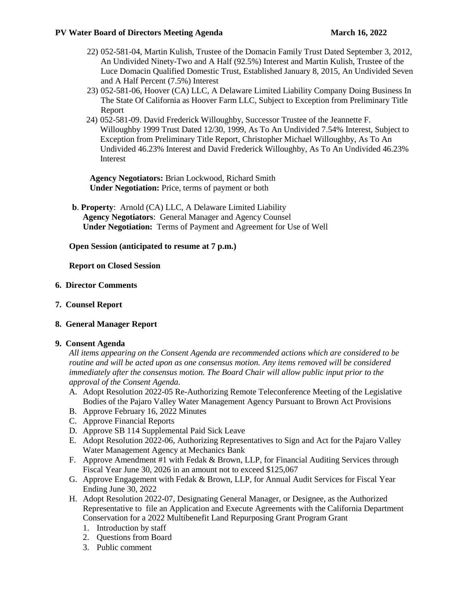## **PV Water Board of Directors Meeting Agenda March 16, 2022**

- 22) 052-581-04, Martin Kulish, Trustee of the Domacin Family Trust Dated September 3, 2012, An Undivided Ninety-Two and A Half (92.5%) Interest and Martin Kulish, Trustee of the Luce Domacin Qualified Domestic Trust, Established January 8, 2015, An Undivided Seven and A Half Percent (7.5%) Interest
- 23) 052-581-06, Hoover (CA) LLC, A Delaware Limited Liability Company Doing Business In The State Of California as Hoover Farm LLC, Subject to Exception from Preliminary Title Report
- 24) 052-581-09. David Frederick Willoughby, Successor Trustee of the Jeannette F. Willoughby 1999 Trust Dated 12/30, 1999, As To An Undivided 7.54% Interest, Subject to Exception from Preliminary Title Report, Christopher Michael Willoughby, As To An Undivided 46.23% Interest and David Frederick Willoughby, As To An Undivided 46.23% Interest

**Agency Negotiators:** Brian Lockwood, Richard Smith **Under Negotiation:** Price, terms of payment or both

 **b**. **Property**: Arnold (CA) LLC, A Delaware Limited Liability **Agency Negotiators**: General Manager and Agency Counsel **Under Negotiation:** Terms of Payment and Agreement for Use of Well

## **Open Session (anticipated to resume at 7 p.m.)**

**Report on Closed Session** 

## **6. Director Comments**

**7. Counsel Report**

## **8. General Manager Report**

## **9. Consent Agenda**

*All items appearing on the Consent Agenda are recommended actions which are considered to be routine and will be acted upon as one consensus motion. Any items removed will be considered immediately after the consensus motion. The Board Chair will allow public input prior to the approval of the Consent Agenda.* 

- A. Adopt Resolution 2022-05 Re-Authorizing Remote Teleconference Meeting of the Legislative Bodies of the Pajaro Valley Water Management Agency Pursuant to Brown Act Provisions
- B. Approve February 16, 2022 Minutes
- C. Approve Financial Reports
- D. Approve SB 114 Supplemental Paid Sick Leave
- E. Adopt Resolution 2022-06, Authorizing Representatives to Sign and Act for the Pajaro Valley Water Management Agency at Mechanics Bank
- F. Approve Amendment #1 with Fedak & Brown, LLP, for Financial Auditing Services through Fiscal Year June 30, 2026 in an amount not to exceed \$125,067
- G. Approve Engagement with Fedak & Brown, LLP, for Annual Audit Services for Fiscal Year Ending June 30, 2022
- H. Adopt Resolution 2022-07, Designating General Manager, or Designee, as the Authorized Representative to file an Application and Execute Agreements with the California Department Conservation for a 2022 Multibenefit Land Repurposing Grant Program Grant
	- 1. Introduction by staff
	- 2. Questions from Board
	- 3. Public comment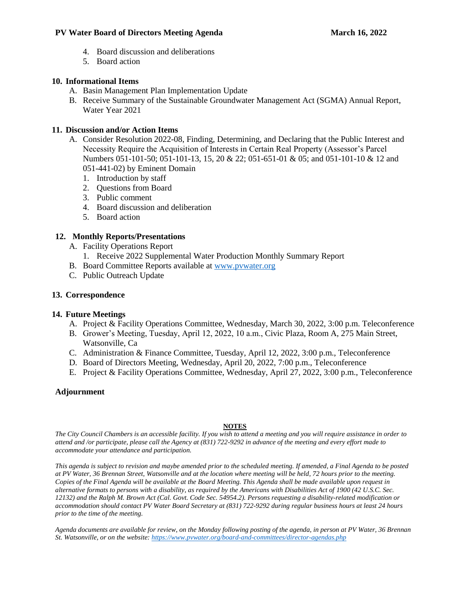## **PV Water Board of Directors Meeting Agenda March 16, 2022**

- 4. Board discussion and deliberations
- 5. Board action

## **10. Informational Items**

- A. Basin Management Plan Implementation Update
- B. Receive Summary of the Sustainable Groundwater Management Act (SGMA) Annual Report, Water Year 2021

## **11. Discussion and/or Action Items**

- A. Consider Resolution 2022-08, Finding, Determining, and Declaring that the Public Interest and Necessity Require the Acquisition of Interests in Certain Real Property (Assessor's Parcel Numbers 051-101-50; 051-101-13, 15, 20 & 22; 051-651-01 & 05; and 051-101-10 & 12 and 051-441-02) by Eminent Domain
	- 1. Introduction by staff
	- 2. Questions from Board
	- 3. Public comment
	- 4. Board discussion and deliberation
	- 5. Board action

## **12. Monthly Reports/Presentations**

- A. Facility Operations Report
	- 1. Receive 2022 Supplemental Water Production Monthly Summary Report
- B. Board Committee Reports available at [www.pvwater.org](http://www.pvwater.org/)
- C. Public Outreach Update

## **13. Correspondence**

## **14. Future Meetings**

- A. Project & Facility Operations Committee, Wednesday, March 30, 2022, 3:00 p.m. Teleconference
- B. Grower's Meeting, Tuesday, April 12, 2022, 10 a.m., Civic Plaza, Room A, 275 Main Street, Watsonville, Ca
- C. Administration & Finance Committee, Tuesday, April 12, 2022, 3:00 p.m., Teleconference
- D. Board of Directors Meeting, Wednesday, April 20, 2022, 7:00 p.m., Teleconference
- E. Project & Facility Operations Committee, Wednesday, April 27, 2022, 3:00 p.m., Teleconference

## **Adjournment**

#### **NOTES**

*The City Council Chambers is an accessible facility. If you wish to attend a meeting and you will require assistance in order to attend and /or participate, please call the Agency at (831) 722-9292 in advance of the meeting and every effort made to accommodate your attendance and participation.*

*This agenda is subject to revision and maybe amended prior to the scheduled meeting. If amended, a Final Agenda to be posted at PV Water, 36 Brennan Street, Watsonville and at the location where meeting will be held, 72 hours prior to the meeting. Copies of the Final Agenda will be available at the Board Meeting. This Agenda shall be made available upon request in alternative formats to persons with a disability, as required by the Americans with Disabilities Act of 1900 (42 U.S.C. Sec. 12132) and the Ralph M. Brown Act (Cal. Govt. Code Sec. 54954.2). Persons requesting a disability-related modification or accommodation should contact PV Water Board Secretary at (831) 722-9292 during regular business hours at least 24 hours prior to the time of the meeting.*

*Agenda documents are available for review, on the Monday following posting of the agenda, in person at PV Water, 36 Brennan St. Watsonville, or on the website[: https://www.pvwater.org/board-and-committees/director-agendas.php](https://www.pvwater.org/board-and-committees/director-agendas.php)*